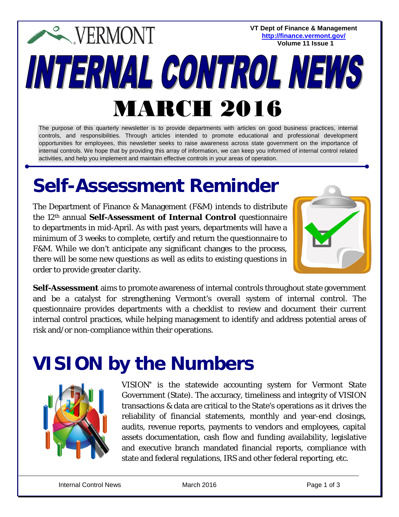#### **VT Dept of Finance & Management EXPERMONT <http://finance.vermont.gov/> Volume 11 Issue 1**INTERNAL CONTROL NEWS MARCH 2016

The purpose of this quarterly newsletter is to provide departments with articles on good business practices, internal controls, and responsibilities. Through articles intended to promote educational and professional development opportunities for employees, this newsletter seeks to raise awareness across state government on the importance of internal controls. We hope that by providing this array of information, we can keep you informed of internal control related activities, and help you implement and maintain effective controls in your areas of operation.

## **Self-Assessment Reminder**

The Department of Finance & Management (F&M) intends to distribute the 12th annual **Self-Assessment of Internal Control** questionnaire to departments in mid-April. As with past years, departments will have a minimum of 3 weeks to complete, certify and return the questionnaire to F&M. While we don't anticipate any significant changes to the process, there will be some new questions as well as edits to existing questions in order to provide greater clarity.



*Self-Assessment* aims to promote awareness of internal controls throughout state government and be a catalyst for strengthening Vermont's overall system of internal control. The questionnaire provides departments with a checklist to review and document their current internal control practices, while helping management to identify and address potential areas of risk and/or non-compliance within their operations.

### **VISION by the Numbers**



VISION\* is the statewide accounting system for Vermont State Government (State). The accuracy, timeliness and integrity of VISION transactions & data are critical to the State's operations as it drives the reliability of financial statements, monthly and year-end closings, audits, revenue reports, payments to vendors and employees, capital assets documentation, cash flow and funding availability, legislative and executive branch mandated financial reports, compliance with state and federal regulations, IRS and other federal reporting, etc.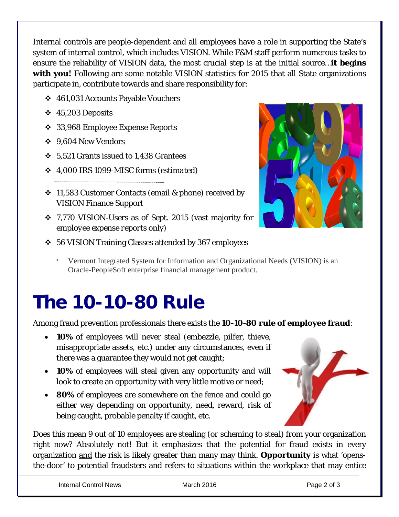Internal controls are people-dependent and all employees have a role in supporting the State's system of internal control, *which includes VISION*. While F&M staff perform numerous tasks to ensure the reliability of VISION data, the most crucial step is at the initial source…**it begins**  with you! Following are some notable VISION statistics for 2015 that all State organizations participate in, contribute towards and share responsibility for:

- 461,031 Accounts Payable Vouchers
- $\div$  45,203 Deposits
- 33,968 Employee Expense Reports
- 9,604 New Vendors
- 5,521 Grants issued to 1,438 Grantees
- 4,000 IRS 1099-MISC forms (*estimated*)
- $\div$  11,583 Customer Contacts (email & phone) received by VISION Finance Support
- 7,770 VISION-Users as of Sept. 2015 (vast majority for *employee expense reports* only)



- 56 VISION Training Classes attended by 367 employees
	- Vermont Integrated System for Information and Organizational Needs (VISION) is an Oracle-PeopleSoft enterprise financial management product.

# **The 10-10-80 Rule**

Among fraud prevention professionals there exists the **10-10-80 rule of employee fraud**:

- **10%** of employees will never steal (embezzle, pilfer, thieve, misappropriate assets, etc.) under any circumstances, even if there was a guarantee they would not get caught;
- **10%** of employees will steal given any opportunity and will look to create an opportunity with very little motive or need;
- **80%** of employees are somewhere on the fence and could go either way depending on opportunity, need, reward, risk of being caught, probable penalty if caught, etc.



Does this mean 9 out of 10 employees are stealing (*or scheming to steal*) from your organization right now? Absolutely not! But it emphasizes that the potential for fraud exists in every organization and the risk is likely greater than many may think. **Opportunity** is what 'opensthe-door' to potential fraudsters and refers to situations within the workplace that may entice